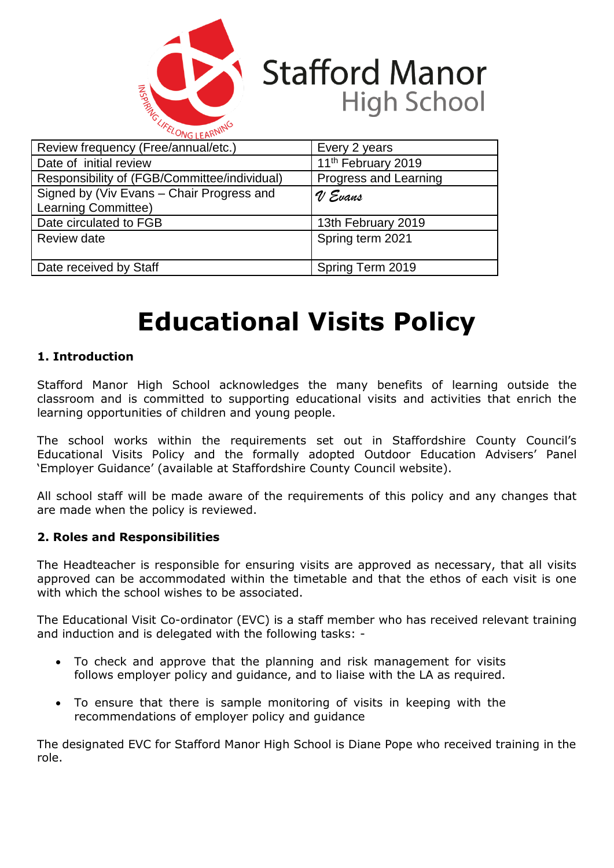

# **Stafford Manor High School**

| $\sim$                                                           |                                |
|------------------------------------------------------------------|--------------------------------|
| Review frequency (Free/annual/etc.)                              | Every 2 years                  |
| Date of initial review                                           | 11 <sup>th</sup> February 2019 |
| Responsibility of (FGB/Committee/individual)                     | Progress and Learning          |
| Signed by (Viv Evans - Chair Progress and<br>Learning Committee) | V Evans                        |
| Date circulated to FGB                                           | 13th February 2019             |
| Review date                                                      | Spring term 2021               |
| Date received by Staff                                           | Spring Term 2019               |

# **Educational Visits Policy**

# **1. Introduction**

Stafford Manor High School acknowledges the many benefits of learning outside the classroom and is committed to supporting educational visits and activities that enrich the learning opportunities of children and young people.

The school works within the requirements set out in Staffordshire County Council's Educational Visits Policy and the formally adopted Outdoor Education Advisers' Panel 'Employer Guidance' (available at Staffordshire County Council website).

All school staff will be made aware of the requirements of this policy and any changes that are made when the policy is reviewed.

## **2. Roles and Responsibilities**

The Headteacher is responsible for ensuring visits are approved as necessary, that all visits approved can be accommodated within the timetable and that the ethos of each visit is one with which the school wishes to be associated.

The Educational Visit Co-ordinator (EVC) is a staff member who has received relevant training and induction and is delegated with the following tasks: -

- To check and approve that the planning and risk management for visits follows employer policy and guidance, and to liaise with the LA as required.
- To ensure that there is sample monitoring of visits in keeping with the recommendations of employer policy and guidance

The designated EVC for Stafford Manor High School is Diane Pope who received training in the role.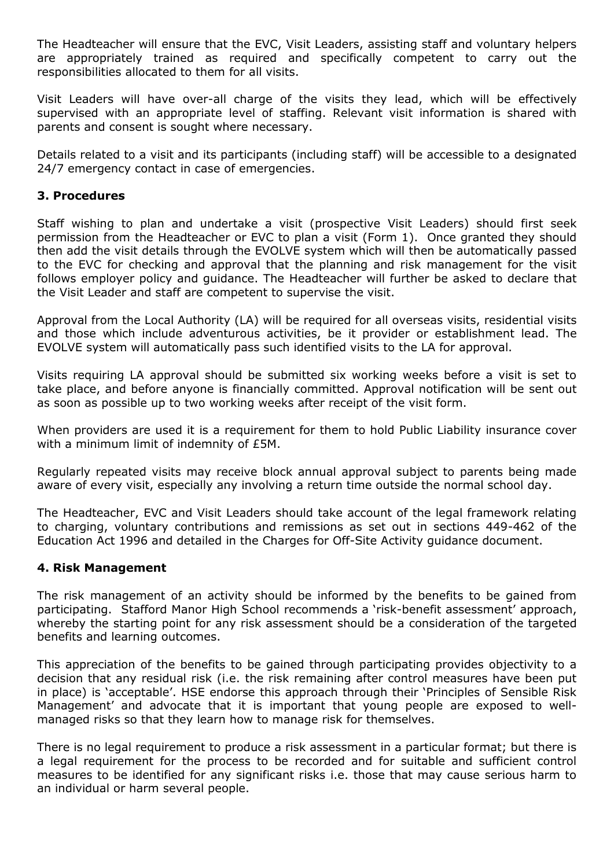The Headteacher will ensure that the EVC, Visit Leaders, assisting staff and voluntary helpers are appropriately trained as required and specifically competent to carry out the responsibilities allocated to them for all visits.

Visit Leaders will have over-all charge of the visits they lead, which will be effectively supervised with an appropriate level of staffing. Relevant visit information is shared with parents and consent is sought where necessary.

Details related to a visit and its participants (including staff) will be accessible to a designated 24/7 emergency contact in case of emergencies.

# **3. Procedures**

Staff wishing to plan and undertake a visit (prospective Visit Leaders) should first seek permission from the Headteacher or EVC to plan a visit (Form 1). Once granted they should then add the visit details through the EVOLVE system which will then be automatically passed to the EVC for checking and approval that the planning and risk management for the visit follows employer policy and guidance. The Headteacher will further be asked to declare that the Visit Leader and staff are competent to supervise the visit.

Approval from the Local Authority (LA) will be required for all overseas visits, residential visits and those which include adventurous activities, be it provider or establishment lead. The EVOLVE system will automatically pass such identified visits to the LA for approval.

Visits requiring LA approval should be submitted six working weeks before a visit is set to take place, and before anyone is financially committed. Approval notification will be sent out as soon as possible up to two working weeks after receipt of the visit form.

When providers are used it is a requirement for them to hold Public Liability insurance cover with a minimum limit of indemnity of £5M.

Regularly repeated visits may receive block annual approval subject to parents being made aware of every visit, especially any involving a return time outside the normal school day.

The Headteacher, EVC and Visit Leaders should take account of the legal framework relating to charging, voluntary contributions and remissions as set out in sections 449-462 of the Education Act 1996 and detailed in the Charges for Off-Site Activity guidance document.

## **4. Risk Management**

The risk management of an activity should be informed by the benefits to be gained from participating. Stafford Manor High School recommends a 'risk-benefit assessment' approach, whereby the starting point for any risk assessment should be a consideration of the targeted benefits and learning outcomes.

This appreciation of the benefits to be gained through participating provides objectivity to a decision that any residual risk (i.e. the risk remaining after control measures have been put in place) is 'acceptable'. HSE endorse this approach through their 'Principles of Sensible Risk Management' and advocate that it is important that young people are exposed to wellmanaged risks so that they learn how to manage risk for themselves.

There is no legal requirement to produce a risk assessment in a particular format; but there is a legal requirement for the process to be recorded and for suitable and sufficient control measures to be identified for any significant risks i.e. those that may cause serious harm to an individual or harm several people.